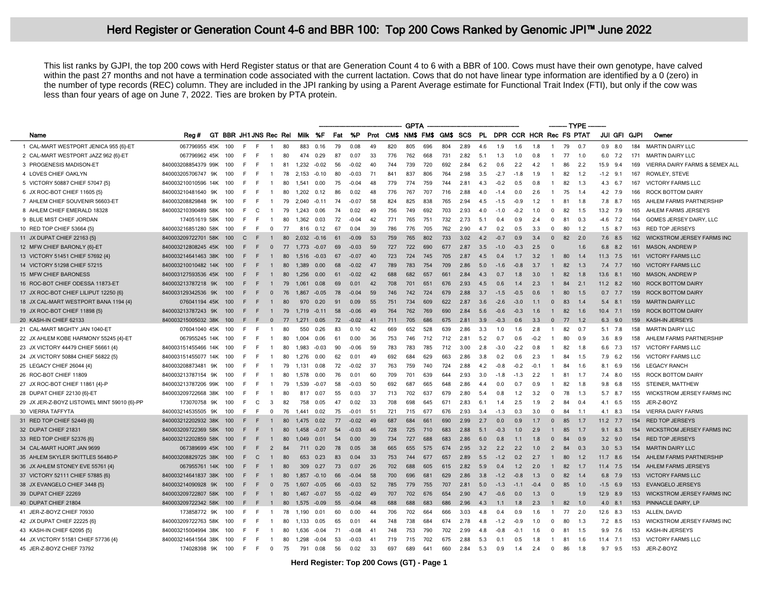## Herd Register or Generation Count 4-6 and BBR 100: Top 200 Cows Ranked by Genomic JPI<sup>™</sup> June 2022

This list ranks by GJPI, the top 200 cows with Herd Register status or that are Generation Count 4 to 6 with a BBR of 100. Cows must have their own genotype, have calved within the past 27 months and not have a termination code associated with the current lactation. Cows that do not have linear type information are identified by a 0 (zero) in the number of type records (REC) column. They are included in the JPI ranking by using a Parent Average estimate for Functional Trait Index (FTI), but only if the cow was less than four years of age on June 7, 2022. Ties are broken by PTA protein.

|                                             |                         |    |                        |              |    |                |    |         |         |     |         |     |          | <b>GPTA</b> |     |     |                    |     |                            |        |        |                |    | ------- TYPE |        |                |     |                                   |
|---------------------------------------------|-------------------------|----|------------------------|--------------|----|----------------|----|---------|---------|-----|---------|-----|----------|-------------|-----|-----|--------------------|-----|----------------------------|--------|--------|----------------|----|--------------|--------|----------------|-----|-----------------------------------|
| Name                                        | Rea#                    |    | GT BBR JH1 JNS Rec Rel |              |    |                |    |         | Milk %F | Fat | %P      |     | Prot CMS |             |     |     | NM\$ FM\$ GM\$ SCS |     | PL DPR CCR HCR Rec FS PTAT |        |        |                |    |              |        | JUI GFI GJPI   |     | Owner                             |
| 1 CAL-MART WESTPORT JENICA 955 {6}-ET       | 067796955 45K           |    | 100                    | F.           | E  | $\mathbf{1}$   | 80 | 883     | 0.16    | 79  | 0.08    | 49  | 820      | 805         | 696 | 804 | 2.89               | 4.6 | 1.9                        | 1.6    | 1.8    | $\mathbf{1}$   | 79 | 0.7          |        | $0.9$ 8.0      | 184 | <b>MARTIN DAIRY LLC</b>           |
| 2 CAL-MART WESTPORT JAZZ 962 {6}-ET         | 067796962 45K           |    | 100                    | F.           | E  | $\mathbf{1}$   | 80 | 474     | 0.29    | 87  | 0.07    | 33  | 776      | 762         | 668 | 731 | 2.82               | 5.1 | 1.3                        | 1.0    | 0.8    | $\mathbf{1}$   | 77 | 1.0          |        | 6.0 7.2        | 171 | <b>MARTIN DAIRY LLC</b>           |
| 3 PROGENESIS MADISON-ET                     | 840003208854379 99K     |    | 100                    | -F           | E  | -1             | 81 | 1.232   | $-0.02$ | 56  | $-0.02$ | 40  | 744      | 739         | 720 | 692 | 2.84               | 6.2 | 0.6                        | 2.2    | 4.2    | $\mathbf{1}$   | 86 | - 2.2        |        | 15.9 9.4       | 169 | VIERRA DAIRY FARMS & SEMEX ALL    |
| 4 LOVES CHIEF OAKLYN                        | 840003205706747 9K      |    | 100                    | F            | E  |                | 78 | 2.153   | $-0.10$ | 80  | $-0.03$ | 71  | $84 -$   | 837         | 806 | 764 | 2.98               | 3.5 | $-2.7$                     | $-1.8$ | 1.9    | $\mathbf{1}$   | 82 | 1.2          |        | $-1.2$ 9.1     | 167 | ROWLEY, STEVE                     |
| 5 VICTORY 50887 CHIEF 57047 {5}             | 840003210010596 14K     |    | 100                    | -F           | F. | -1             | 80 | 1.541   | 0.00    | 75  | $-0.04$ | 48  | 779      | 774         | 759 | 744 | 2.81               | 4.3 | $-0.2$                     | 0.5    | 0.8    | $\mathbf{1}$   | 82 | 1.3          |        | 4.3 6.7        | 167 | <b>VICTORY FARMS LLC</b>          |
| 6 JX ROC-BOT CHIEF 11605 {5}                | 840003210481640         | 9K | 100                    | E            | E  |                | 80 | 1.202   | 0.12    | 86  | 0.02    | 48  | 776      | 767         | 707 | 716 | 2.88               | 4.0 | $-1.4$                     | 0.0    | 2.6    | $\mathbf{1}$   | 75 | 1.4          |        | 4.2 7.9        | 166 | <b>ROCK BOTTOM DAIRY</b>          |
| 7 AHLEM CHIEF SOUVENIR 56603-ET             | 840003208829848 9K      |    | 100                    | E            | E  | $\mathbf{1}$   | 79 | 2.040   | $-0.11$ | 74  | $-0.07$ | 58  | 824      | 825         | 838 | 765 | 2.94               | 4.5 | $-1.5$                     | $-0.9$ | 1.2    | $\overline{1}$ | 81 | 1.8          |        | 7.8 8.7        | 165 | AHLEM FARMS PARTNERSHIP           |
| 8 AHLEM CHIEF EMERALD 18328                 | 840003210390489 58K     |    | 100                    | -F           | C  | $\overline{1}$ | 79 | 1.243   | 0.06    | 74  | 0.02    | 49  | 756      | 749         | 692 | 703 | 2.93               | 4.0 | $-1.0$                     | $-0.2$ | 1.0    | $\Omega$       | 82 | 1.5          |        | 13.2 7.9       | 165 | AHLEM FARMS JERSEYS               |
| 9 BLUE MIST CHIEF JORDAN                    | 174051619 58K           |    | 100                    | -F           | F. | $\overline{1}$ | 80 | 1.362   | 0.03    | 72  | $-0.04$ | 42  | 771      | 765         | 751 | 732 | 2.73               | 5.1 | 0.4                        | 0.9    | 2.4    | $\Omega$       | 81 | 0.3          |        | $-4.6$ 7.2     | 164 | GOMES JERSEY DAIRY, LLC           |
| 10 RED TOP CHIEF 53664 {5}                  | 840003216851280 58K     |    | 100                    | F.           | F. | $\mathbf{0}$   | 77 | 816     | 0.12    | 67  | 0.04    | 39  | 786      | 776         | 705 | 762 | 2.90               | 4.7 | 0.2                        | 0.5    | 3.3    | $\Omega$       | 80 | 1.2          |        | $1.5$ 8.7      | 163 | <b>RED TOP JERSEYS</b>            |
| 11 JX DUPAT CHIEF 22163 {5}                 | 840003209722701 58K     |    | 100                    | $\mathsf{C}$ | -F | $\mathbf{1}$   | 80 | 2.032   | $-0.16$ | 61  | $-0.09$ | 53  | 759      | 765         | 802 | 733 | 3.02               | 4.2 | $-0.7$                     | 0.9    | 3.4    | $\Omega$       | 82 | 2.0          |        | 7.6 8.5        | 162 | <b>WICKSTROM JERSEY FARMS INC</b> |
| 12 MFW CHIEF BARONLY {6}-ET                 | 840003212808245 45K     |    | 100                    | Æ.           | F. | $\overline{0}$ | 77 | 1.773   | $-0.07$ | 69  | $-0.03$ | 59  | 727      | 722         | 690 | 677 | 2.87               | 3.5 | $-1.0$                     | $-0.3$ | 2.5    | $\Omega$       |    | 1.6          |        | $6.8$ $8.2$    | 161 | <b>MASON, ANDREW P</b>            |
| 13 VICTORY 51451 CHIEF 57692 {4}            | 840003214641463 38K     |    | 100                    | F            | F. | $\mathbf{1}$   | 80 | 1.516   | $-0.03$ | 67  | $-0.07$ | 40  | 723      | 724         | 745 | 705 | 2.87               | 4.5 | 0.4                        | 1.7    | 3.2    | $\mathbf{1}$   | 80 | 1.4          |        | $11.3$ 7.5     | 161 | <b>VICTORY FARMS LLC</b>          |
| 14 VICTORY 51298 CHIEF 57215                | 840003210010482 14K     |    | 100                    | F            | E  | $\mathbf{1}$   | 80 | 1.389   | 0.00    | 68  | $-0.02$ | 47  | 789      | 783         | 754 | 709 | 2.86               | 5.0 | $-1.6$                     | $-0.8$ | 3.7    | -1             | 82 | -1.3         |        | 7.4 7.7        | 160 | <b>VICTORY FARMS LLC</b>          |
| 15 MFW CHIEF BARONESS                       | 840003127593536 45K     |    | 100                    |              | E  | $\mathbf{1}$   | 80 | 1.256   | 0.00    | 61  | $-0.02$ | 42  | 688      | 682         | 657 | 661 | 2.84               | 4.3 | 0.7                        | 1.8    | 30     | $\mathbf{1}$   | 82 | 1.8          |        | 13.6 8.1       | 160 | <b>MASON, ANDREW P</b>            |
| 16 ROC-BOT CHIEF ODESSA 11873-ET            | 840003213787218 9K      |    | 100                    |              | E  | $\mathbf{1}$   | 79 | 1.061   | 0.08    | 69  | 0.01    | 42  | 708      | 701         | 651 | 676 | 2.93               | 4.5 | 0.6                        | 1.4    | 23     | $\overline{1}$ | 84 | 2.1          |        | $11.2$ 8.2     | 160 | <b>ROCK BOTTOM DAIRY</b>          |
| 17 JX ROC-BOT CHIEF LILIPUT 12250 (6)       | 840003129342536 9K      |    | 100                    | F            | F  | $\mathbf{0}$   | 76 | 1.867   | $-0.05$ | 78  | $-0.04$ | 59  | 746      | 742         | 724 | 679 | 2.88               | 3.7 | $-1.5$                     | $-0.5$ | 06     | $\mathbf{1}$   | 80 | 1.5          |        | $0.7$ 7.7      | 159 | <b>ROCK BOTTOM DAIRY</b>          |
| 18 JX CAL-MART WESTPORT BANA 1194 {4}       | 076041194 45K           |    | 100                    | F            | F. | $\overline{1}$ | 80 | 970     | 0.20    | 91  | 0.09    | 55  | 751      | 734         | 609 | 622 | 2.87               | 3.6 | $-2.6$                     | $-3.0$ | 11     | $\Omega$       | 83 | 1.4          |        | 5.4 8.1        | 159 | <b>MARTIN DAIRY LLC</b>           |
| 19 JX ROC-BOT CHIEF 11898 {5}               | 840003213787243 9K      |    | 100                    | F            | ÷  | $\overline{1}$ | 79 | 1 7 1 9 | $-0.11$ | 58  | $-0.06$ | 49  | 764      | 762         | 769 | 690 | 2.84               | 5.6 | $-0.6$                     | $-0.3$ | 1.6    | $\mathbf{1}$   | 82 | 1.6          |        | $10.4$ 7.1     | 159 | <b>ROCK BOTTOM DAIRY</b>          |
| 20 KASH-IN CHIEF 62133                      | 840003215005032 38K 100 |    |                        | F            | -F | $\mathbf{0}$   | 77 | 1.271   | 0.05    | 72  | $-0.02$ | 41  | 711      | 705         | 686 | 675 | 2.81               | 3.9 | $-0.3$                     | 0.6    | 3.3    | $\overline{0}$ | 77 | 1.2          |        | $6.3$ 9.0      | 159 | KASH-IN JERSEYS                   |
| 21 CAL-MART MIGHTY JAN 1040-ET              | 076041040 45K           |    | 100                    | F            | E  | -1             | 80 | 550     | 0.26    | 83  | 0.10    | 42  | 669      | 652         | 528 | 639 | 2.86               | 3.3 | 1.0                        | 1.6    | 28     | $\overline{1}$ | 82 | - 0.7        |        | $5.1$ 7.8      | 158 | <b>MARTIN DAIRY LLC</b>           |
| 22 JX AHLEM KOBE HARMONY 55245 {4}-ET       | 067955245 14K 100       |    |                        | E            | F. | $\overline{1}$ | 80 | 1.004   | 0.06    | 61  | 0.00    | 36  | 753      | 746         | 712 | 712 | 2.81               | 5.2 | 0.7                        | 0.6    | $-0.2$ | $\mathbf{1}$   | 80 | 0.9          |        | $3.6$ $8.9$    | 158 | AHLEM FARMS PARTNERSHIP           |
| 23 JX VICTORY 44479 CHIEF 56661 {4}         | 840003151455466 14K     |    | 100                    | F            | E  | -1             | 80 | 1.983   | $-0.03$ | 90  | $-0.06$ | 59  | 783      | 783         | 785 | 712 | 3.00               | 2.8 | $-3.0$                     | $-2.2$ | 0.8    | $\mathbf{1}$   | 82 | 1.8          |        | 6.6 7.3        | 157 | <b>VICTORY FARMS LLC</b>          |
| 24 JX VICTORY 50884 CHIEF 56822 {5}         | 840003151455077 14K     |    | 100                    | E            | E  | $\mathbf{1}$   | 80 | 1.276   | 0.00    | 62  | 0.01    | 49  | 692      | 684         | 629 | 663 | 2.86               | 3.8 | 0.2                        | 0.6    | 2.3    | $\overline{1}$ | 84 | 1.5          |        | $7.9$ 6.2      | 156 | <b>VICTORY FARMS LLC</b>          |
| 25 LEGACY CHIEF 26044 {4}                   | 840003208873481 9K      |    | 100                    | E            | F  | -1             | 79 | 1.131   | 0.08    | 72  | $-0.02$ | 37  | 763      | 759         | 740 | 724 | 2.88               | 4.2 | $-0.8$                     | $-0.2$ | $-0.1$ | -1             | 84 | 1.6          |        | 8.1 6.9        | 156 | <b>LEGACY RANCH</b>               |
| 26 ROC-BOT CHIEF 11809                      | 840003213787154         | 9K | 100                    |              | F  |                | 80 | 1.578   | 0.00    | 76  | 0.01    | 60  | 709      | 701         | 639 | 644 | 2.93               | 3.0 | $-1.8$                     | $-1.3$ | 2.2    | -1             | 81 | 1.7          |        | $7.4\quad 8.0$ | 155 | ROCK BOTTOM DAIRY                 |
| 27 JX ROC-BOT CHIEF 11861 {4}-P             | 840003213787206 99K     |    | 100                    | E            | E  | $\mathbf{1}$   | 79 | 1.539   | $-0.07$ | 58  | $-0.03$ | 50  | 692      | 687         | 665 | 648 | 2.86               | 4.4 | 0.0                        | 0.7    | 0.9    | $\mathbf{1}$   | 82 | 1.8          |        | $9.8\quad 6.8$ | 155 | STEINER, MATTHEW                  |
| 28 DUPAT CHIEF 22130 {6}-ET                 | 840003209722668 38K     |    | 100                    | E            | F  | -1             | 80 | 817     | 0.07    | 55  | 0.03    | 37  | 713      | 702         | 637 | 679 | 2.80               | 5.4 | 0.8                        | 1.2    | 3.2    | $\Omega$       | 78 | 1.3          |        | 5.7 8.7        | 155 | <b>WICKSTROM JERSEY FARMS INC</b> |
| 29 JX JER-Z-BOYZ LISTOWEL MINT 59010 {6}-PP | 173070758 9K            |    | 100                    | -F           | C  | 3              | 82 | 758     | 0.05    | 47  | 0.02    | 33  | 708      | 698         | 645 | 671 | 2.83               | 6.1 | 1.4                        | 2.5    | 1.9    | 2              | 84 | 0.4          |        | 4.1 6.5        | 155 | JER-Z-BOYZ                        |
| 30 VIERRA TAFFYTA                           | 840003214535505         | 9K | 100                    | -F           | F  | $\Omega$       | 76 | 1.441   | 0.02    | 75  | $-0.01$ | 51  | 721      | 715         | 677 | 676 | 2.93               | 3.4 | $-1.3$                     | 0.3    | 3.0    | $\Omega$       | 84 | $-1.1$       |        | 4.1 8.3        | 154 | <b>VIERRA DAIRY FARMS</b>         |
| 31 RED TOP CHIEF 52449 {6}                  | 840003212202932 38K     |    | 100                    | F            | E  | -1             | 80 | 1.475   | 0.02    | 77  | $-0.02$ | 49  | 687      | 684         | 661 | 690 | 2.99               | 2.7 | 0.0                        | 0.9    | 1.7    | $\Omega$       | 85 | 1.7          |        | $11.2$ 7.7     | 154 | <b>RED TOP JERSEYS</b>            |
| 32 DUPAT CHIEF 21831                        | 840003209722369 58K     |    | 100                    |              | E  | $\mathbf{1}$   | 80 | 1.458   | $-0.07$ | 54  | $-0.03$ | 46  | 728      | 725         | 710 | 683 | 2.88               | 5.1 | $-0.3$                     | 1.0    | 2.9    | $\mathbf{1}$   | 85 | 17           |        | $9.1\quad 8.3$ | 154 | <b>WICKSTROM JERSEY FARMS INC</b> |
| 33 RED TOP CHIEF 52376 (6)                  | 840003212202859 58K     |    | 100                    |              | E  | $\overline{1}$ | 80 | 1049    | 0.01    | 54  | 0.00    | 39  | 734      | 727         | 688 | 683 | 2.86               | 6.0 | 0.8                        | 11     | 18     | $\Omega$       | 84 | 0.9          |        | $3.2$ 9.0      | 154 | <b>RED TOP JERSEYS</b>            |
| 34 CAL-MART HJORT JAN 9699                  | 067389699 45K 100       |    |                        | E            | F  | $\overline{2}$ | 84 | 711     | 0.20    | 78  | 0.05    | 38  | 665      | 655         | 575 | 674 | 2.95               | 3.2 | 2.2                        | 2.2    | 1.0    | 2              | 84 | 0.3          |        | $3.0$ 5.3      | 154 | <b>MARTIN DAIRY LLC</b>           |
| 35 AHLEM SKYLER SKITTLES 56480-P            | 840003208829725 38K     |    | 100                    | F            | C  | $\overline{1}$ | 80 | 653     | 0.23    | 83  | 0.04    | 33  | 753      | 744         | 677 | 657 | 2.89               | 5.5 | $-1.2$                     | 0.2    | 2.7    |                | 80 | 1.2          |        | $11.7$ 8.6     | 154 | AHLEM FARMS PARTNERSHIP           |
| 36 JX AHLEM STONEY EVE 55761 {4}            | 067955761 14K           |    | 100                    |              | E  | $\overline{1}$ | 80 | 309     | 0.27    | 73  | 0.07    | 26  | 702      | 688         | 605 | 615 | 2.82               | 5.9 | 0.4                        | 1.2    | 20     | $\overline{1}$ | 82 | 1.7          |        | $11.4$ 7.5     | 154 | AHLEM FARMS JERSEYS               |
| 37 VICTORY 52111 CHIEF 57885 {6}            | 840003214641837 38K     |    | 100                    | F            | F  | $\mathbf{1}$   | 80 | 1,857   | $-0.10$ | 66  | $-0.04$ | 58  | 700      | 696         | 681 | 629 | 2.86               | 3.8 | $-1.2$                     | $-0.8$ | 1.3    | $\mathbf{0}$   | 82 | 1.4          |        | 6.8 7.9        | 153 | <b>VICTORY FARMS LLC</b>          |
| 38 JX EVANGELO CHIEF 3448 {5}               | 840003214090928         | 9K | 100                    |              | E  | $\Omega$       | 75 | 1.607   | $-0.05$ | 66  | $-0.03$ | 52  | 785      | 779         | 755 | 707 | 2.81               | 5.0 | $-1.3$                     | $-1.1$ | $-0.4$ | $\Omega$       | 85 | 1.0          | $-1.5$ | 6.9            | 153 | <b>EVANGELO JERSEYS</b>           |
| 39 DUPAT CHIEF 22269                        | 840003209722807 58K 100 |    |                        | F            | E  | $\overline{1}$ | 80 | 1.467   | $-0.07$ | 55  | $-0.02$ | 49  | 707      | 702         | 676 | 654 | 2.90               | 4.7 | $-0.6$                     | 0.0    | 1.3    | $\Omega$       |    | 1.9          |        | 12.9 8.9       | 153 | <b>WICKSTROM JERSEY FARMS INC</b> |
| 40 DUPAT CHIEF 21804                        | 840003209722342 58K     |    | 100                    | F            | F  | -1             | 80 | 1,575   | -0.09   | 55  | $-0.04$ | 48  | 688      | 688         | 683 | 686 | 2.96               | 4.3 | 1.1                        | 1.8    | 2.3    | -1             | 82 | $-1.0$       |        | $4.0$ 8.1      | 153 | PINNACLE DAIRY, LP                |
| 41 JER-Z-BOYZ CHIEF 70930                   | 173858772 9K            |    | 100                    | -F           | E  | $\overline{1}$ | 78 | 1.190   | 0.01    | 60  | 0.00    | 44  | 706      | 702         | 664 | 666 | 3.03               | 4.8 | 0.4                        | 0.9    | 1.6    | $\overline{1}$ | 77 | 2.0          |        | 12.6 8.3       | 153 | ALLEN, DAVID                      |
| 42 JX DUPAT CHIEF 22225 {6}                 | 840003209722763 58K     |    | 100                    | F            | F  | -1             | 80 | 1,133   | 0.05    | 65  | 0.01    | 44  | 748      | 738         | 684 | 674 | 2.78               | 4.8 | $-1.2$                     | $-0.9$ | 1.0    | 0              | 80 | 1.3          |        | 7.2 8.5        | 153 | WICKSTROM JERSEY FARMS INC        |
| 43 KASH-IN CHIEF 62095 {5}                  | 840003215004994 38K     |    | 100                    | E            | E  | -1             | 80 | 1,636   | $-0.04$ | 71  | $-0.08$ | -41 | 748      | 753         | 790 | 702 | 2.99               | 4.8 | $-0.8$                     | $-0.1$ | 1.6    | 0              | 81 | 1.5          | 9.9    | 7.6            | 153 | KASH-IN JERSEYS                   |
| 44 JX VICTORY 51581 CHIEF 57736 {4}         | 840003214641564 38K     |    | 100                    | F.           | E  | $\overline{1}$ | 80 | 1.298   | $-0.04$ | 53  | $-0.03$ | 41  | 719      | 715         | 702 | 675 | 2.88               | 5.3 | 0.1                        | 0.5    | 1.8    | -1             | 81 | 1.6          |        | $11.4$ 7.1     | 153 | <b>VICTORY FARMS LLC</b>          |
| 45 JER-Z-BOYZ CHIEF 73792                   | 174028398 9K            |    | 100                    | F.           | F. | $\overline{0}$ | 75 | 791     | 0.08    | 56  | 0.02    | -33 | 697      | 689         | 641 | 660 | 2.84               | 5.3 | 0.9                        | 1.4    | 2.4    | $\overline{0}$ | 86 | 1.8          |        | 9.7 9.5        | 153 | JER-Z-BOYZ                        |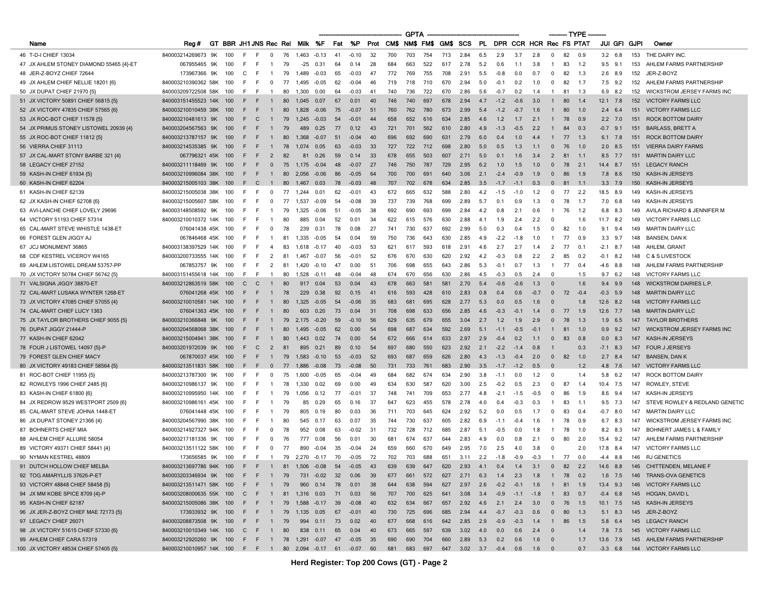|                                         |                                                          |      |                        |           |                   |                     |               |                      |      |         |    |          | <b>GPTA</b> |     |                    |                                         |      |        |        |                            |                          | – TYPE |        |                 |     |                                   |
|-----------------------------------------|----------------------------------------------------------|------|------------------------|-----------|-------------------|---------------------|---------------|----------------------|------|---------|----|----------|-------------|-----|--------------------|-----------------------------------------|------|--------|--------|----------------------------|--------------------------|--------|--------|-----------------|-----|-----------------------------------|
| Name                                    | Reg#                                                     |      | GT BBR JH1 JNS Rec Rel |           |                   |                     |               | Milk %F              | Fat  | %P      |    | Prot CMS |             |     | NM\$ FM\$ GM\$ SCS |                                         |      |        |        | PL DPR CCR HCR Rec FS PTAT |                          |        |        | JUI GFI GJPI    |     | Owner                             |
| 46 T-D-I CHIEF 13034                    | 840003214269673 9K                                       |      | 100                    | E         | E<br>$^{\circ}$   | 76                  | 1,463         | $-0.13$              | 41   | $-0.10$ | 32 | 700      | 703         | 754 | 713                | 2.84                                    | 6.5  | 2.9    | 3.7    | 2.8                        | $\mathbf{0}$             | 82     | 0 9    | $3.2\quad 6.8$  | 153 | THE DAIRY INC.                    |
| 47 JX AHLEM STONEY DIAMOND 55465 {4}-ET | 067955465 9K                                             |      | 100                    | F.<br>F   | $\mathbf{1}$      | 79                  | $-25$         | 0.31                 | 64   | 0.14    | 28 | 684      | 663         | 522 | 617                | 2.78                                    | 5.2  | 0.6    | 1.1    | 3.8                        | $\mathbf{1}$             | 83     | 1.2    | $9.5$ $9.1$     | 153 | AHLEM FARMS PARTNERSHIP           |
| 48 JER-Z-BOYZ CHIEF 72644               | 173967366 9K                                             |      | 100                    | C<br>-F   | -1                | 79                  | 1.489         | $-0.03$              | 65   | $-0.03$ | 47 | 772      | 769         | 755 | 708                | 2.91                                    | 5.5  | $-0.8$ | 0.0    | 0.7                        | $\Omega$                 | 82     | 1.3    | $2.6$ 8.9       | 152 | JER-Z-BOYZ                        |
| 49 JX AHLEM CHIEF NELLIE 18201 {6}      | 840003210390362 58K                                      |      | 100                    | E<br>F    | $^{\circ}$        | 77                  | 1,495         | $-0.05$              | 62   | $-0.04$ | 46 | 719      | 718         | 710 | 670                | 2.94                                    | 5.0  | $-0.1$ | 0.2    | 1.0                        | $\Omega$                 | 82     | 1.7    | $7.5$ 9.2       | 152 | AHLEM FARMS PARTNERSHIP           |
| 50 JX DUPAT CHIEF 21970 (5)             | 840003209722508 58K                                      |      | 100                    | F.<br>-F  |                   | 80                  | 1,300         | 0.00                 | 64   | $-0.03$ | 41 | 740      | 736         | 722 | 670                | 2.86                                    | 5.6  | $-0.7$ | 0.2    | 1.4                        | $\mathbf{1}$             | 81     | 1.3    | 6.9<br>8.2      | 152 | <b>WICKSTROM JERSEY FARMS INC</b> |
| 51 JX VICTORY 50891 CHIEF 56815 (5)     | 840003151455523 14K                                      |      | 100                    | F         |                   | 80                  | 1.045         | 0.07                 | 67   | 0.01    | 40 | 746      | 740         | 697 | 678                | 2.94                                    | 4.7  | $-1.2$ | $-0.6$ | 3.0                        | $\mathbf{1}$             | 80     | 1.4    | $12.1$ 7.8      | 152 | <b>VICTORY FARMS LLC</b>          |
| 52 JX VICTORY 47835 CHIEF 57565 {6}     | 840003210010459 38K                                      |      | 100                    | E<br>F    | $\mathbf{1}$      | 80                  | 1,828         | $-0.06$              | 75   | $-0.07$ | 51 | 760      | 762         | 780 | 673                | 2.99                                    | 5.4  | $-1.2$ | $-0.7$ | 1.6                        | $\overline{1}$           | 80     | 1.0    | $2.4\quad 6.4$  | 151 | <b>VICTORY FARMS LLC</b>          |
| 53 JX ROC-BOT CHIEF 11578 (5)           | 840003210481613 9K                                       |      | 100                    | F         | C                 | 79                  | 1.245         | $-0.03$              | - 54 | $-0.01$ | 44 | 658      | 652         | 616 | 634                | 2.85                                    | 4.6  | 1.2    | 1.7    | 2.1                        | $\mathbf{1}$             | 78     | 0.9    | $2.2 \quad 7.0$ | 151 | <b>ROCK BOTTOM DAIRY</b>          |
| 54 JX PRIMUS STONEY LISTOWEL 20939 {4}  | 840003204567563 9K                                       |      | 100                    | F<br>F    | $\mathbf{1}$      | 79                  | 489           | 0.25                 | 77   | 0.12    | 43 | 721      | 701         | 562 | 610                | 2.80                                    | 4.9  | $-1.3$ | $-0.5$ | 2.2                        | $\mathbf{1}$             | -84    | 0.3    | $-0.7$ 9.1      | 151 | <b>BARLASS, BRETT A</b>           |
| 55 JX ROC-BOT CHIEF 11812 {5}           | 840003213787157 9K                                       |      | 100                    | F<br>F    | $\mathbf{1}$      | 80                  | 1,368         | $-0.07$              | 51   | $-0.04$ | 40 | 696      | 692         | 690 | 631                | 2.79                                    | 6.0  | 0.4    | 1.0    | 4.4                        | $\mathbf{1}$             | 77     | 1.3    | $6.1$ 7.8       | 151 | <b>ROCK BOTTOM DAIRY</b>          |
| 56 VIERRA CHIEF 31113                   | 840003214535385 9K                                       |      | 100                    |           |                   | 78                  | 1.074         | 0.05                 | 63   | $-0.03$ | 33 | 727      | 722         | 712 | 698                | 2.80                                    | 5.0  | 0.5    | 1.3    | 1.1                        | $\Omega$                 | 76     | 1.0    | 2.0<br>8.5      | 151 | <b>VIERRA DAIRY FARMS</b>         |
| 57 JX CAL-MART STONY BARBE 321 {4}      | 067796321 45K                                            |      | 100                    | F         | F<br>2            | 82                  | 81            | 0.26                 | 59   | 0.14    | 33 | 678      | 655         | 503 | 607                | 2.71                                    | 5.0  | 0.1    | 1.6    | 3.4                        | 2                        | -81    | $-1.1$ | $8.5$ 7.7       | 151 | <b>MARTIN DAIRY LLC</b>           |
| 58 LEGACY CHIEF 27152                   | 840003211118469 9K                                       |      | 100                    | E<br>F    | $\Omega$          | 75                  | 1,175         | $-0.04$              | 48   | $-0.07$ | 27 | 746      | 750         | 787 | 729                | 2.95                                    | 6.2  | 1.0    | 1.5    | 1.0                        | $\Omega$                 | 78     | 2.1    | 14.4<br>8.7     | 151 | <b>LEGACY RANCH</b>               |
| 59 KASH-IN CHIEF 61934 {5}              | 840003210996084 38K                                      |      | 100                    | F         | F<br>$\mathbf{1}$ | 80                  | 2,056         | $-0.06$              | 86   | $-0.05$ | 64 | 700      | 700         | 691 | 640                | 3.06                                    | 2.1  | $-2.4$ | $-0.9$ | 1.9                        | $\Omega$                 | 86     | 1.9    | 7.8 8.6         | 150 | KASH-IN JERSEYS                   |
| 60 KASH-IN CHIEF 62204                  | 840003215005103 38K                                      |      | 100                    | C<br>F    | $\mathbf{1}$      | 80                  | 1.467         | 0.03                 | 78   | $-0.03$ | 48 | 707      | 702         | 678 | 634                | 2.85                                    | 3.5  | $-1.7$ | $-1.1$ | 0.3                        | $\Omega$                 | -81    | 1.1    | $3.3$ 7.9       | 150 | KASH-IN JERSEYS                   |
| 61 KASH-IN CHIEF 62139                  | 840003215005038 38K                                      |      | 100                    | E<br>E    | $\Omega$          | 77                  | 1.244         | 0.01                 | 62   | $-0.01$ | 43 | 672      | 665         | 632 | 588                | 2.80                                    | 4.2  | $-1.5$ | $-1.0$ | 1.2                        | $\Omega$                 | 77     | -2.2   | 18.5 8.9        | 149 | KASH-IN JERSEYS                   |
| 62 JX KASH-IN CHIEF 62708 {6}           | 840003215005607 58K                                      |      | 100                    | F         | $\Omega$          | 77                  | 1.537         | $-0.09$              | 54   | $-0.08$ | 39 | 737      | 739         | 768 | 699                | 2.89                                    | 5.7  | 0.1    | 0.9    | 1.3                        | $\Omega$                 | 78     | -1.7   | 7.0<br>6.8      | 149 | KASH-IN JERSEYS                   |
| 63 AVI-LANCHE CHIEF LOVELY 29696        | 840003148508592 9K                                       |      | 100                    | F         |                   | 79                  | 1.325         | $-0.06$              | 51   | $-0.05$ | 38 | 692      | 690         | 693 | 699                | 2.84                                    | 4.2  | 0.8    | 2.1    | 0.6                        | -1                       | 76     | 1.2    | 6.8<br>8.3      | 149 | AVILA RICHARD & JENNIFER M        |
| 64 VICTORY 51193 CHIEF 57314            | 840003210010372 14K                                      |      | 100                    | E<br>E    | -1                | 80                  | 885           | 0.04                 | 52   | 0.01    | 34 | 622      | 615         | 576 | 630                | 2.88                                    | 4.1  | 1.9    | 2.4    | 2.2                        | $\Omega$                 |        | 1.6    | 11.7 8.2        | 149 | <b>VICTORY FARMS LLC</b>          |
| 65 CAL-MART STEVE WHISTLE 1438-ET       | 076041438 45K                                            |      | 100                    | F         | $\Omega$          | 78                  | 239           | 0.31                 | 78   | 0.08    | 27 | 741      | 730         | 637 | 692                | 2.99                                    | 5.0  | 0.3    |        | 1.5                        | $\Omega$                 | 82     | 1.0    | 9.1<br>9.4      | 149 | <b>MARTIN DAIRY LLC</b>           |
| 66 FOREST GLEN JIGGY AJ                 | 067846468 45K                                            |      | 100                    | E<br>F    | -1                | 81                  | 1.335         | $-0.05$              | 54   | 0.04    | 59 | 750      | 736         | 643 | 630                | 2.85                                    | 4.9  | $-2.2$ | $-1.8$ | 1.0                        | -1                       | 77     | 0.9    | 3.3<br>9.7      | 148 | <b>BANSEN, DAN K</b>              |
| 67 JCJ MONUMENT 36865                   | 840003138397529 14K                                      |      | 100                    | -F<br>F   | 4                 | 83                  | 1,618         | $-0.17$              | 40   | $-0.03$ | 53 | 621      | 617         | 593 | 618                | 2.91                                    | 4.6  | 2.7    | 2.7    | 1.4                        | 2                        | 77     | 0.1    | $-2.1$ 8.7      | 148 | AHLEM, GRANT                      |
| 68 CDF KESTREL VICEROY W4165            | 840003200733555 14K                                      |      | 100                    | F<br>F    | $\overline{2}$    | 81                  | 1.467         | $-0.07$              | 56   | -0.01   | 52 | 676      | 670         | 630 | 620                | 2.92                                    | 4.2  | -0.3   | 0.8    | 2.2                        | $\overline{2}$           | 85     | 0.2    | $-0.1$<br>8.2   | 148 | <b>C &amp; S LIVESTOCK</b>        |
| 69 AHLEM LISTOWEL DREAM 53757-PP        | 067853757 9K                                             |      | 100                    | E<br>-F   | 2                 | 81                  | 1,420         | $-0.10$              | -47  | 0.00    | 51 | 706      | 698         | 655 | 643                | 2.86                                    | 5.3  | $-0.1$ | 0.7    | 1.3                        | $\overline{1}$           | 77     | 0.4    | $-4.6$<br>8.8   | 148 | AHLEM FARMS PARTNERSHIP           |
| 70 JX VICTORY 50784 CHIEF 56742 {5}     | 840003151455618 14K                                      |      | 100                    | -F<br>-F  | -1                | 80                  | 1,528         | $-0.11$              | 48   | $-0.04$ | 48 | 674      | 670         | 656 | 630                | 2.86                                    | 4.5  | $-0.3$ | 0.5    | 2.4                        | $\Omega$                 |        | 1.5    | 9.7<br>6.2      | 148 | <b>VICTORY FARMS LLC</b>          |
| 71 VALSIGNA JIGGY 38870-ET              | 840003212863519 58K                                      |      | 100                    | C         | C                 | 80                  | 917           | 0.04                 | 53   | 0.04    | 43 | 678      | 663         | 581 | 581                | 2.70                                    | 5.4  | $-0.6$ | $-0.6$ | 1.3                        | $\Omega$                 |        | 1.6    | 9.4<br>9.9      | 148 | <b>WICKSTROM DAIRIES L.P.</b>     |
| 72 CAL-MART LUSAKA WYNTER 1268-ET       | 076041268 45K                                            |      | 100                    | F         | F<br>$\mathbf{1}$ | 78                  | 229           | 0.38                 | 92   | 0.15    | 41 | 616      | 593         | 428 | 610                | 2.83                                    | 0.8  | 0.4    | 0.6    | $-0.7$                     | $\Omega$                 | 72     | $-0.4$ | $-0.3$ 5.9      | 148 | <b>MARTIN DAIRY LLC</b>           |
| 73 JX VICTORY 47085 CHIEF 57055 {4}     | 840003210010581 14K                                      |      | 100                    | E<br>F    | -1                | 80                  | 1,325         | $-0.05$              | 54   | $-0.06$ | 35 | 683      | 681         | 695 | 628                | 2.77                                    | 5.3  | 0.0    | 0.5    | 1.6                        | - 0                      |        | 1.8    | 12.6<br>8.2     | 148 | <b>VICTORY FARMS LLC</b>          |
| 74 CAL-MART CHIEF LUCY 1363             | 076041363 45K                                            |      | 100                    | F<br>F    |                   | 80                  | 603           | 0.20                 | 73   | 0.04    | 31 | 708      | 698         | 633 | 656                | 2.85                                    | 4.6  | $-0.3$ | $-0.1$ | 1.4                        | $\Omega$                 | 77     | 1.9    | 12.6 7.7        | 148 | <b>MARTIN DAIRY LLC</b>           |
| 75 JX TAYLOR BROTHERS CHIEF 9055 {5}    | 840003210366848 9K                                       |      | 100                    | F<br>F    |                   | 79                  | 2.175         | $-0.20$              | 59   | $-0.10$ | 56 | 629      | 635         | 679 | 655                | 3.04                                    | 2.7  | 1.2    | 1.9    | 2.9                        | $\Omega$                 | 78     | 1.3    | 1.9<br>6.5      | 147 | <b>TAYLOR BROTHERS</b>            |
| 76 DUPAT JIGGY 21444-P                  | 840003204568068 38K                                      |      | 100                    | F<br>F    | $\mathbf{1}$      | 80                  | 1,495         | $-0.05$              | 62   | 0.00    | 54 | 698      | 687         | 634 | 592                | 2.69                                    | 5.1  | $-1.1$ | $-0.5$ | $-0.1$                     | $\mathbf{1}$             | 81     | 1.0    | $0.9$ $9.2$     | 147 | <b>WICKSTROM JERSEY FARMS INC</b> |
| 77 KASH-IN CHIEF 62042                  | 840003215004941 38K                                      |      | 100                    | F<br>F    |                   | 80                  | 1.443         | 0.02                 | 74   | 0.00    | 54 | 672      | 666         | 614 | 633                | 2.97                                    | 2.9  | $-0.4$ | 0.2    | 1.1                        | $\Omega$                 | 83     | 0.8    | 8.3<br>0.0      | 147 | KASH-IN JERSEYS                   |
| 78 FOUR J LISTOWEL 14097 {5}-P          | 840003201972039 9K                                       |      | 100                    | F         | C<br>2            | 81                  | 895           | 0.21                 | 89   | 0.10    | 54 | 697      | 680         | 550 | 623                | 2.92                                    | 2.1  | $-2.2$ | $-1.4$ | 0.8                        |                          |        | 0.3    | $-7.1$ 8.3      | 147 | <b>FOUR J JERSEYS</b>             |
| 79 FOREST GLEN CHIEF MACY               | 067870037 45K                                            |      | 100                    | F.<br>-F  | $\overline{1}$    | 79                  | 1,583         | $-0.10$              | 53   | $-0.03$ | 52 | 693      | 687         | 659 | 626                | 2.80                                    | 4.3  | $-1.3$ | $-0.4$ | 2.0                        | $\mathbf{0}$             | 82     | 1.0    | 2.7<br>8.4      | 147 | <b>BANSEN, DAN K</b>              |
| 80 JX VICTORY 49183 CHIEF 58564 {5}     | 840003213511831                                          | .58K | 100                    |           | $\Omega$          | 77                  | 1.886         | $-0.08$              | 73   | $-0.08$ | 50 | 731      | 733         | 761 | 683                | 2.90                                    | 3.5  | $-1.7$ | $-1.2$ | 0.5                        |                          |        | 1.2    | 4.8<br>7.6      |     | <b>VICTORY FARMS LLC</b>          |
| 81 ROC-BOT CHIEF 11955 {5}              | 840003213787300 9K                                       |      | 100                    | -F<br>-F  | $^{\circ}$        | 75                  | 1.600         | $-0.05$              | 65   | $-0.04$ | 49 | 684      | 682         | 674 | 634                | 2.90                                    | 3.8  | $-1.1$ | 0.0    | 1.2                        | - 0                      |        | 1.4    | 5.8<br>6.2      | 147 | ROCK BOTTOM DAIRY                 |
| 82 ROWLEYS 1996 CHIEF 2485 {6}          | 840003210986137 9K                                       |      | 100                    | F         | $\mathbf{1}$      | 78                  | 1,330         | 0.02                 | 69   | 0.00    | 49 | 634      | 630         | 587 | 620                | 3.00                                    | 2.5  | $-0.2$ | 0.5    | 2.3                        | $\Omega$                 | -87    | 1.4    | 10.4 7.5        | 147 | ROWLEY, STEVE                     |
| 83 KASH-IN CHIEF 61800 {6}              | 840003210995950 14K                                      |      | 100                    | F         | -1                | 79                  | 1.056         | 0.12                 | 77   | -0.01   | 37 | 748      | 741         | 709 | 653                | 2.77                                    | 4.8  | $-2.1$ | $-1.5$ | $-0.5$                     | $\Omega$                 | 86     | 1.9    | 8.6<br>9.4      | 147 | KASH-IN JERSEYS                   |
| 84 JX REDROW 9529 WESTPORT 2509 {6}     | 840003210986161 45K                                      |      | 100                    | F.        | $\overline{1}$    | 79                  | 85            | 0.29                 | 65   | 0.16    | 37 | 647      | 623         | 455 | 578                | 2.78                                    | 4.0  | 0.4    | $-0.3$ | 0.3                        | -1                       | 83     | $-1.1$ | $9.5$ 7.3       | 147 | STEVE ROWLEY & REDLAND GENETIC    |
| 85 CAL-MART STEVE JOHNA 1448-ET         | 076041448 45K                                            |      | 100                    | F         | $\mathbf{1}$      | 79                  | 805           | 0.19                 | 80   | 0.03    | 36 | 711      | 703         | 645 | 624                | 2.92                                    | -5.2 | 0.0    | 0.5    | 1.7                        | $\Omega$                 | 83     | 0.4    | -0.7<br>8.0     | 147 | <b>MARTIN DAIRY LLC</b>           |
| 86 JX DUPAT STONEY 21366 {4}            | 840003204567990 38K                                      |      | 100                    | F<br>F    | $\mathbf{1}$      | 80                  | 545           | 0.17                 | 63   | 0.07    | 35 | 744      | 730         | 637 | 605                | 2.82                                    | 6.9  | $-1.1$ | $-0.4$ | 1.6                        |                          | 78     | 0.9    | 6.7<br>8.3      | 147 | WICKSTROM JERSEY FARMS INC        |
| 87 BOHNERTS CHIEF MIA                   | 840003214927327 94K                                      |      | 100                    | F<br>E    | $^{\circ}$        | 78                  | 952           | 0.08                 | 63   | -0.02   | 31 | 732      | 728         | 712 | 685                | 2.87                                    | 5.1  | $-0.5$ | 0.0    | 1.8                        |                          | 78     | 1.0    | 8.2 8.3         | 147 | BOHNERT JAMES L & FAMILY          |
| 88 AHLEM CHIEF ALLURE 58054             | 840003217181336 9K                                       |      | 100                    | E<br>-F   | $\Omega$          | 76                  | 777           | 0.08                 | 56   | 0.01    | 30 | 681      | 674         | 637 | 644                | 2.83                                    | -4.9 | 0.0    | 0.8    | 2.1                        | $\Omega$                 | 80     | -2.0   | 15.4 9.2        | 147 | AHLEM FARMS PARTNERSHIP           |
| 89 VICTORY 49371 CHIEF 58441 {4}        | 840003213511122 58K                                      |      | 100                    | F.<br>F   | $\Omega$          | 77                  | 890           | $-0.04$              | 35   | $-0.04$ | 24 | 659      | 660         | 670 | 649                | 2.95                                    | 7.0  | 2.5    | 4.0    | 3.8                        | $\Omega$                 |        | 2.0    | 17.8<br>8.4     | 147 | <b>VICTORY FARMS LLC</b>          |
| 90 NYMAN KESTREL 48809                  | 173656585 9K                                             |      | 100                    | F<br>- F  | $\overline{1}$    | 79                  |               | 2,270 -0.17          | 70   | $-0.05$ | 72 | 702      | 703         | 688 | 651                | 3.11                                    | 2.2  | $-1.8$ | $-0.9$ | $-0.3$                     | $\overline{1}$           | 77     | 0.0    | $-4.4$ 8.8      | 146 | <b>RJ GENETICS</b>                |
| 91 DUTCH HOLLOW CHIEF MELBA             | 840003213697786 94K 100                                  |      |                        | $F - F$   | $\overline{1}$    |                     |               | 81  1,506  -0.08     | -54  | $-0.05$ | 43 | 639      | 639         | 647 | 620                | 2.93                                    | 4.1  | 0.4    | 1.4    | 3.1                        | $\overline{0}$           | 82     | 2.2    | 14.6 8.8        |     | 146 CHITTENDEN, MELANIE F         |
| 92 TOG AMARYLLIS 37626-P-ET             | 840003203346934 9K 100                                   |      |                        | F.<br>-F  | $\overline{1}$    | 79                  |               | 731 -0.02            | 32   | 0.06    | 39 | 677      | 661         | 572 | 627                | 2.71                                    | 6.3  | 1.4    | 2.3    | 1.8                        | $\overline{1}$           | 78 0.2 |        | $1.6$ 7.5       |     | 146 TRANS-OVA GENETICS            |
| 93 VICTORY 48848 CHIEF 58458 {5}        | 840003213511471 58K 100                                  |      |                        | F.        | F 1               | 79                  |               | 960 0.14             | - 78 | 0.01    | 38 | 644      | 638         | 594 | 627                | 2.97                                    | 2.6  | $-0.2$ | $-0.1$ | 1.6                        | $\overline{1}$           | 81 1.9 |        | 13.4 9.3        |     | 146 VICTORY FARMS LLC             |
| 94 JX MM KOBE SPICE 8709 {4}-P          | 840003208000635 55K 100                                  |      |                        | C F 1     |                   |                     | 81 1,316 0.03 |                      | 71   | 0.03    | 56 | 707      | 700         | 625 | 641                | 3.08                                    | 3.4  | $-0.9$ | $-1.1$ | $-1.8$                     | $\overline{1}$           | 83     | 0.7    | $-0.4$ 6.8      |     | 145 HOGAN, DAVID L                |
| 95 KASH-IN CHIEF 62187                  | 840003215005086 38K 100                                  |      |                        |           |                   |                     |               | F F 1 79 1,588 -0.17 | 39   | $-0.08$ | 40 | 632      | 634         | 667 | 657                | 2.92                                    | 4.6  | 2.1    | 2.4    | 3.0                        | $\overline{0}$           | 76 1.5 |        | $10.1$ 7.5      |     | 145 KASH-IN JERSEYS               |
| 96 JX JER-Z-BOYZ CHIEF MAE 72173 {5}    | 173933932 9K 100                                         |      |                        |           |                   | F F 1 79 1,135 0.05 |               |                      | 67   | $-0.01$ | 40 | 730      | 725         | 696 | 685                | 2.94                                    | 4.4  | $-0.7$ | $-0.3$ | 0.6                        | $\mathbf 0$              | 80     | 1.3    | $5.1$ 8.3       |     | 145 JER-Z-BOYZ                    |
| 97 LEGACY CHIEF 26071                   | 840003208873508 9K                                       |      | 100                    | F.<br>- F | $\overline{1}$    | 79                  | 994           | 0.11                 | 73   | 0.02    | 40 | 677      | 668         | 616 | 642                | 2.85                                    | 2.9  | $-0.9$ | $-0.3$ | 1.4                        | $\overline{1}$           | 86     | 1.5    | 5.8 6.4         |     | 145 LEGACY RANCH                  |
| 98 JX VICTORY 51615 CHIEF 57330 {6}     | 840003210010349 14K 100 C F 1                            |      |                        |           |                   | 80                  |               | 838 0.11 65          |      | 0.04    | 40 | 673      | 665         | 597 | 639                | 3.02                                    | 4.0  | 0.0    | 0.6    | 2.4                        | $\overline{\phantom{0}}$ |        | 1.4    | $7.8$ 7.5       |     | 145 VICTORY FARMS LLC             |
| 99 AHLEM CHIEF CARA 57319               | 840003212920260 9K 100 F F 1 78 1,291 -0.07 47 -0.05 35  |      |                        |           |                   |                     |               |                      |      |         |    | 690      | 690         | 704 | 660                | 2.89                                    | 5.3  | 0.2    | 0.6    | $1.6 \t 0$                 |                          |        | 1.7    | 13.6 7.9        |     | 145 AHLEM FARMS PARTNERSHIP       |
| 100 JX VICTORY 48534 CHIEF 57405 {5}    | 840003210010957 14K 100 F F 1 80 2,094 -0.17 61 -0.07 60 |      |                        |           |                   |                     |               |                      |      |         |    |          |             |     |                    | 681 683 697 647 3.02 3.7 -0.4 0.6 1.6 0 |      |        |        |                            |                          |        | 0.7    |                 |     | -3.3 6.8 144 VICTORY FARMS LLC    |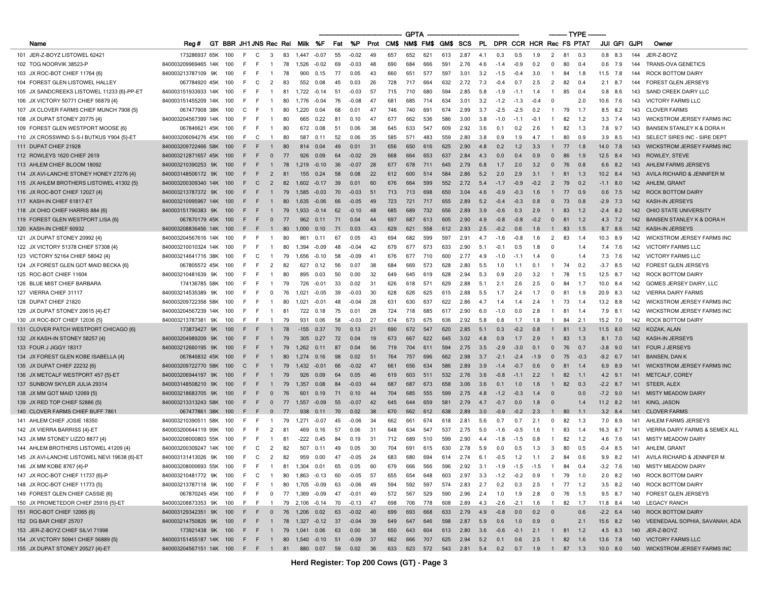|                                              |                                                      |                                |     |       |                          |    |               |                   |     |         |      |     | <b>GPTA</b>         |     |     |                                               |     |        |        |                         |                |            | – TYPE · |                     |     |                                         |
|----------------------------------------------|------------------------------------------------------|--------------------------------|-----|-------|--------------------------|----|---------------|-------------------|-----|---------|------|-----|---------------------|-----|-----|-----------------------------------------------|-----|--------|--------|-------------------------|----------------|------------|----------|---------------------|-----|-----------------------------------------|
| Name                                         | Reg#                                                 | GT BBR JH1 JNS Rec Rel Milk %F |     |       |                          |    |               |                   | Fat | %P      |      |     | Prot CM\$ NM\$ FM\$ |     |     | GM\$ SCS                                      | PL  |        |        | DPR CCR HCR Rec FS PTAT |                |            |          | <b>JUI GFI GJPI</b> |     | Owner                                   |
| 101 JER-Z-BOYZ LISTOWEL 62421                | 173286937 65K                                        | 100                            | E   | C     | 3                        | 83 | 1.447         | $-0.07$           | 55  | $-0.02$ | 49   | 657 | 652                 | 621 | 613 | 2.87                                          | 4.1 | 0.3    | 0.5    | 1.9                     | 2              | 81         | 0.3      | $0.8$ 8.3           | 144 | JER-Z-BOYZ                              |
| 102 TOG NOORVIK 38523-P                      | 840003209969465 14K                                  | 100                            | F.  | -F    | -1                       | 78 | 1,526         | $-0.02$           | 69  | $-0.03$ | 48   | 690 | 684                 | 666 | 591 | 2.76                                          | 4.6 | $-1.4$ | -0.9   | 0.2                     | 0              | 80         | 0.4      | $0.6$ 7.9           | 144 | <b>TRANS-OVA GENETICS</b>               |
| 103 JX ROC-BOT CHIEF 11764 {6}               | 840003213787109 9K                                   | 100                            | F   | E     | $\overline{1}$           | 78 | 900           | 0.15              | 77  | 0.05    | 43   | 660 | 651                 | 577 | 597 | 3.01                                          | 3.2 | $-1.5$ | $-0.4$ | 3.0                     | $\overline{1}$ | 84         | 1.8      | 11.5 7.8            | 144 | <b>ROCK BOTTOM DAIRY</b>                |
| 104 FOREST GLEN LISTOWEL HALLEY              | 067784920 45K                                        | 100                            | F   | C     | $\overline{2}$           | 83 | 552           | 0.08              | 45  | 0.03    | 26   | 728 | 717                 | 664 | 632 | 2.72                                          | 7.3 | $-0.4$ | 0.7    | 2.5                     | 2              | 82         | 0.4      | $2.1$ 8.7           | 144 | <b>FOREST GLEN JERSEYS</b>              |
| 105 JX SANDCREEKS LISTOWEL 11233 {6}-PP-ET   | 840003151933933 14K                                  | 100                            | F   |       | -1                       | 81 | 1,722         | $-0.14$           | -51 | $-0.03$ | 57   | 715 | 710                 | 680 | 594 | 2.85                                          | 5.8 | $-1.9$ | -1.1   | 1.4                     | $\overline{1}$ | 85         | 0.4      | $0.8$ 8.6           | 143 | SAND CREEK DAIRY LLC                    |
| 106 JX VICTORY 50771 CHIEF 56879 {4}         | 840003151455209 14K                                  | 100                            | F   |       |                          | 80 | 1.776         | $-0.04$           | 76  | $-0.08$ | 47   | 681 | 685                 | 714 | 634 | 3.01                                          | 3.2 | $-1.2$ | $-1.3$ | $-0.4$                  | $\Omega$       |            | 2.0      | 10.6<br>7.6         | 143 | <b>VICTORY FARMS LLC</b>                |
| 107 JX CLOVER FARMS CHIEF MUNCH 7908 {5}     | 067477908 38K                                        | 100                            | C   | E     | $\mathbf{1}$             | 80 | 1,220         | 0.04              | 68  | 0.01    | 47   | 746 | 740                 | 691 | 674 | 2.99                                          | 3.7 | $-2.5$ | $-2.5$ | 0.2                     | $\overline{1}$ | 79         | 1.7      | 8.5 8.2             | 143 | <b>CLOVER FARMS</b>                     |
| 108 JX DUPAT STONEY 20775 {4}                | 840003204567399 14K                                  | 100                            | F   |       | -1                       | 80 | 665           | 0.22              | 81  | 0.10    | 47   | 677 | 662                 | 536 | 586 | 3.00                                          | 3.8 | $-1.0$ | $-1.1$ | $-0.1$                  | -1             | 82         | 1.2      | $3.3$ $7.4$         | 143 | WICKSTROM JERSEY FARMS INC              |
| 109 FOREST GLEN WESTPORT MOOSE {6}           | 067846621 45K                                        | 100                            | F   | E     | -1                       | 80 | 672           | 0.08              | 51  | 0.06    | 38   | 645 | 633                 | 547 | 609 | 2.92                                          | 3.6 | 0.1    | 0.2    | 2.6                     | $\overline{1}$ | 82         | 1.3      | 7.8 9.7             | 143 | BANSEN STANLEY K & DORA H               |
| 110 JX CROSSWIND S-S-I BUTKUS Y904 {5}-ET    | 840003206094276 45K                                  | 100                            | -F  | C     | $\mathbf{1}$             | 80 | 587           | 0.11              | 52  | 0.06    | 35   | 585 | 571                 | 483 | 559 | 2.80                                          | 3.8 | 0.9    | 1.9    | 4.7                     | $\mathbf{1}$   | 80         | 0.9      | $3.9$ 8.5           | 143 | SELECT SIRES INC - SIRE DEPT            |
| 111 DUPAT CHIEF 21928                        | 840003209722466 58K                                  | 100                            |     |       |                          | 80 | 814           | 0.04              | 49  | 0.01    | 31   | 656 | 650                 | 616 | 625 | 2.90                                          | 4.8 | 0.2    | 1.2    | 3.3                     |                | 77         | 1.8      | 14.0 7.8            | 143 | <b>WICKSTROM JERSEY FARMS INC</b>       |
| 112 ROWLEYS 1620 CHIEF 2619                  | 840003212871657 45K                                  | 100                            | F   |       | $\mathbf{0}$             | 77 | 926           | 0.09              | 64  | $-0.02$ | 29   | 668 | 664                 | 653 | 637 | 2.84                                          | 4.3 | 0.0    | 0.4    | 0.9                     | $\mathbf{0}$   | 86         | 1.9      | 12.5 8.4            | 143 | ROWLEY, STEVE                           |
| 113 AHLEM CHIEF BLOOM 18092                  | 840003210390253 9K                                   | 100                            | F   |       |                          | 78 | 1.219         | $-0.10$           | 36  | $-0.07$ | 28   | 677 | 678                 | 711 | 645 | 2.79                                          | 6.8 | 1.7    | 2.0    | 3.2                     | $\mathbf{0}$   | 76         | 0.8      | 6.6 8.2             | 143 | AHLEM FARMS JERSEYS                     |
| 114 JX AVI-LANCHE STONEY HONEY 27276 {4}     | 840003148506172 9K                                   | 100                            | F   | F     | 2                        | 81 | 155           | 0.24              | 58  | 0.08    | 22   | 612 | 600                 | 514 | 584 | 2.86                                          | 5.2 | 2.0    | 2.9    | 3.1                     |                | 81         | 1.3      | 10.2 8.4            | 143 | AVILA RICHARD & JENNIFER M              |
| 115 JX AHLEM BROTHERS LISTOWEL 41302 {5}     | 840003200309340 14K                                  | 100                            | F   | C     | 2                        | 82 | 1.602         | $-0.17$           | 39  | 0.01    | 60   | 676 | 664                 | 599 | 552 | 2.72                                          | 5.4 | $-1.7$ | $-0.9$ | $-0.2$                  | 2              | 79         | 0.2      | $-1.1$ 8.0          | 142 | AHLEM, GRANT                            |
| 116 JX ROC-BOT CHIEF 12027 {4}               | 840003213787372 9K                                   | 100                            |     |       |                          | 79 | 1,585         | $-0.03$           | 70  | $-0.03$ | 51   | 713 | 713                 | 698 | 650 | 3.04                                          | 4.6 | $-0.9$ | $-0.3$ | 1.6                     |                | 77         | 0.9      | $0.6$ 7.5           | 142 | <b>ROCK BOTTOM DAIRY</b>                |
| 117 KASH-IN CHIEF 61817-E1                   | 840003210995967 14K                                  | 100                            | F   |       |                          | 80 | 1,635         | $-0.06$           | 66  | $-0.05$ | -49  | 723 | 721                 | 717 | 655 | 2.89                                          | 5.2 | $-0.4$ | $-0.3$ | 0.8                     | $\Omega$       | 73         | 0.8      | $-2.9$ 7.3          | 142 | <b>KASH-IN JERSEYS</b>                  |
| 118 JX OHIO CHIEF HARRIS 884 {6}             | 840003151790383 9K                                   | 100                            | F   |       |                          | 79 | 1.933         | $-0.14$           | 62  | $-0.10$ | 48   | 685 | 689                 | 732 | 656 | 2.89                                          | 3.9 | $-0.6$ | 0.3    | 2.9                     | -1             | 83         | 1.2      | $-2.4$ 8.2          | 142 | OHIO STATE UNIVERSITY                   |
| 119 FOREST GLEN WESTPORT LISA {6}            | 067870179 45K 100                                    |                                | F   | F     | $\mathbf{0}$             | 77 | 962           | 0.11              | 71  | 0.04    | 44   | 697 | 687                 | 613 | 605 | 2.90                                          | 4.9 | $-0.8$ | $-0.8$ | $-0.2$                  | $\mathbf{0}$   | 81         | 1.2      | $4.3$ 7.2           |     | 142 BANSEN STANLEY K & DORA H           |
| 120 KASH-IN CHIEF 60932                      | 840003208836456 14K                                  | 100                            |     |       |                          | 80 | 1.000         | 0.10              | 71  | 0.03    | 43   | 629 | 621                 | 558 | 612 | 2.93                                          | 2.5 | $-0.2$ | 0.6    | 1.6                     |                | 83         | $-1.5$   | 8.7 8.6             | 142 | <b>KASH-IN JERSEYS</b>                  |
| 121 JX DUPAT STONEY 20992 {4}                | 840003204567616 14K                                  | 100                            | F   | E     | -1                       | 80 | 861           | 0.11              | 67  | 0.05    | 43   | 694 | 682                 | 599 | 597 | 2.91                                          | 4.7 | $-1.6$ | $-0.8$ | 1.6                     | 2              | 83         | 1.4      | 10.3 8.9            | 142 | <b>WICKSTROM JERSEY FARMS INC</b>       |
| 122 JX VICTORY 51378 CHIEF 57308 {4}         | 840003210010324 14K                                  | 100                            | -F  | F     | -1                       | 80 | 1,394         | $-0.09$           | 48  | $-0.04$ | 42   | 679 | 677                 | 673 | 633 | 2.90                                          | 5.1 | $-0.1$ | 0.5    | 1.8                     | $\Omega$       |            | 1.4      | 7.4 7.6             | 142 | <b>VICTORY FARMS LLC</b>                |
| 123 VICTORY 52164 CHIEF 58042 {4}            | 840003214641716 38K                                  | 100                            | F   | C     |                          | 79 | 1.656         | $-0.10$           | 58  | $-0.09$ | 41   | 676 | 677                 | 710 | 600 | 2.77                                          | 4.9 | $-1.0$ | -1.1   |                         | $\Omega$       |            | 1.4      | 7.3<br>7.6          | 142 | <b>VICTORY FARMS LLC</b>                |
| 124 JX FOREST GLEN GOT MAID BECKA (6)        | 067805572 45K                                        | 100                            | F   | E     | 2                        | 82 | 627           | 0.12              | 56  | 0.07    | 38   | 684 | 669                 | 573 | 628 | 2.80                                          | 5.5 | 1.0    | 1.1    | 0.1                     | $\overline{1}$ | 74         | 0.2      | $-3.7$<br>8.5       | 142 | <b>FOREST GLEN JERSEYS</b>              |
| 125 ROC-BOT CHIEF 11604                      | 840003210481639 9K                                   | 100                            | E   | E     | -1                       | 80 | 895           | 0.03              | 50  | 0.00    | 32   | 649 | 645                 | 619 | 628 | 2.94                                          | 5.3 | 0.9    | 2.0    | 3.2                     | $\overline{1}$ | 78         | 1.5      | 12.5 8.7            | 142 | <b>ROCK BOTTOM DAIRY</b>                |
| 126 BLUE MIST CHIEF BARBARA                  | 174136785 58K                                        | 100                            | F   |       |                          | 79 | 726           | $-0.01$           | 33  | 0.02    | -31  | 626 | 618                 | 571 | 629 | 2.88                                          | 5.1 | 2.1    | 2.6    | 2.5                     | 0              | 84         | 1.7      | 10.0 8.4            | 142 | <b>GOMES JERSEY DAIRY, LLC</b>          |
| 127 VIERRA CHIEF 31117                       | 840003214535389 9K                                   | 100                            | F   |       | $\Omega$                 | 76 | 1.021         | $-0.05$           | 39  | $-0.03$ | 30   | 628 | 626                 | 625 | 615 | 2.88                                          | 5.5 | 1.7    | 2.4    | 1.7                     | $^{\circ}$     | 81         | 1.9      | 20.9 8.3            | 142 | <b>VIERRA DAIRY FARMS</b>               |
| 128 DUPAT CHIEF 21820                        | 840003209722358 58K                                  | 100                            | F   |       |                          | 80 | 1.021         | $-0.01$           | 48  | $-0.04$ | 28   | 631 | 630                 | 637 | 622 | 2.86                                          | 4.7 | 1.4    | 1.4    | 2.4                     | -1             | 73         | 1.4      | 13.2 8.8            | 142 | <b>WICKSTROM JERSEY FARMS INC</b>       |
| 129 JX DUPAT STONEY 20615 {4}-ET             | 840003204567239 14K                                  | 100                            | F.  | F     | $\mathbf{1}$             | 81 | 722           | 0.18              | 75  | 0.01    | 28   | 724 | 718                 | 685 | 617 | 2.90                                          | 6.0 | $-1.0$ | 0.0    | 2.8                     | -1             | 81         | 1.4      | $7.9$ 8.1           | 142 | <b>WICKSTROM JERSEY FARMS INC</b>       |
| 130 JX ROC-BOT CHIEF 12036 {5}               | 840003213787381                                      | 9K<br>100                      | E   | E     | $\mathbf{1}$             | 79 | 931           | 0.06              | 58  | $-0.03$ | 27   | 674 | 673                 | 675 | 636 | 2.92                                          | 5.8 | 0.8    | 1.7    | 1.8                     |                | 84         | 2.1      | 15.2 7.0            | 142 | <b>ROCK BOTTOM DAIRY</b>                |
| 131 CLOVER PATCH WESTPORT CHICAGO {6}        | 173873427 9K                                         | 100                            | F   | E     | $\mathbf{1}$             | 78 | $-155$        | 0.37              | 70  | 0.13    | 21   | 690 | 672                 | 547 | 620 | 2.85                                          | 5.1 | 0.3    | $-0.2$ | 0.8                     | -1             | 81         | 1.3      | $11.5$ 8.0          | 142 | KOZAK, ALAN                             |
| 132 JX KASH-IN STONEY 58257 {4}              | 840003204989209 9K                                   | 100                            |     |       |                          | 79 | 305           | 0.27              | 72  | 0.04    | 19   | 673 | 667                 | 622 | 645 | 3.02                                          | 4.8 | 0.9    | 1.7    | 2.9                     |                | 83         | 1.3      | $8.1$ 7.0           | 142 | <b>KASH-IN JERSEYS</b>                  |
| 133 FOUR J JIGGY 18317                       | 840003212660195 9K                                   | 100                            | F   | E     | $\mathbf{1}$             | 79 | 1.262         | 0.11              | 87  | 0.04    | 56   | 719 | 704                 | 611 | 594 | 2.75                                          | 3.5 | $-2.9$ | $-3.0$ | 0.1                     | $\mathbf{0}$   | 76         | 0.7      | $-3.8$ 9.0          | 141 | <b>FOUR J JERSEYS</b>                   |
| 134 JX FOREST GLEN KOBE ISABELLA {4}         | 067846832 45K                                        | 100                            | F   | F     | $\mathbf{1}$             | 80 | 1,274         | 0.16              | 98  | 0.02    | 51   | 764 | 757                 | 696 | 662 | 2.98                                          | 3.7 | $-2.1$ | $-2.4$ | $-1.9$                  | $\mathbf{0}$   | 75         | $-0.3$   | $-9.2$ 6.7          | 141 | BANSEN, DAN K                           |
| 135 JX DUPAT CHIEF 22232 {6}                 | 840003209722770                                      | 58K<br>100                     | C   |       |                          | 79 | 1.432         | $-0.01$           | 66  | $-0.02$ | 47   | 661 | 656                 | 634 | 586 | 2.89                                          | 3.9 | $-1.4$ | $-0.7$ | 0.6                     | $\Omega$       | 81         | 1.4      | 6.9<br>8.9          | 141 | <b>WICKSTROM JERSEY FARMS INC</b>       |
| 136 JX METCALF WESTPORT 457 {5}-ET           | 840003206944197 9K                                   | 100                            | F   |       |                          | 79 | 926           | 0.09              | 64  | 0.05    | 46   | 619 | 603                 | 511 | 532 | 2.76                                          | 3.6 | $-0.8$ | $-1.1$ | 2.2                     | $\mathbf{1}$   | 82         | $-1.1$   | $4.2$ 9.1           | 141 | METCALF, COREY                          |
| 137 SUNBOW SKYLER JULIA 29314                | 840003148508210 9K                                   | 100                            |     |       |                          | 79 | 1,357         | 0.08              | 84  | $-0.03$ | 44   | 687 | 687                 | 673 | 658 | 3.06                                          | 3.6 | 0.1    | 1.0    | 1.6                     | -1             | 82         | 0.3      | $-2.2$ 8.7          | 141 | STEER, ALEX                             |
| 138 JX MM GOT MAID 12069 {5}                 | 840003218683705 9K                                   | 100                            |     | F     | $\Omega$                 | 76 | 601           | 0.19              | 71  | 0.10    | 44   | 704 | 685                 | 555 | 599 | 2.75                                          | 4.8 | $-1.2$ | $-0.3$ | 1.4                     | $\Omega$       |            | 0.0      | $-7.2$ 9.0          | 141 | <b>MISTY MEADOW DAIRY</b>               |
| 139 JX RED TOP CHIEF 52886 {5}               | 840003213313243 58K                                  | 100                            | -F  | F.    | $\mathbf{0}$             | 77 | 1.557         | $-0.09$           | 55  | $-0.07$ | 42   | 645 | 644                 | 659 | 581 | 2.79                                          | 4.7 | $-0.7$ | 0.0    | 1.8                     | $\Omega$       |            | 1.4      | $11.2$ 8.2          | 141 | KING, JASON                             |
| 140 CLOVER FARMS CHIEF BUFF 7861             | 067477861 38K                                        | 100                            |     |       | $\Omega$                 | 77 | 938           | 0.11              | 70  | 0.02    | 38   | 670 | 662                 | 612 | 638 | 2.89                                          | 3.0 | $-0.9$ | $-0.2$ | 2.3                     | -1             | 80         | 1.1      | $3.2 \quad 8.4$     | 141 | <b>CLOVER FARMS</b>                     |
| 141 AHLEM CHIEF JOSIE 18350                  | 840003210390511 58K                                  | 100                            | F   |       |                          | 79 | 1.271         | $-0.07$           | 45  | $-0.06$ | 34   | 662 | 661                 | 674 | 618 | 2.81                                          | 5.6 | 0.7    | 0.7    | 2.1                     | $\mathbf{0}$   | 82         | 1.3      | $7.0$ 8.9           | 141 | AHLEM FARMS JERSEYS                     |
| 142 JX VIERRA BARRISS {4}-ET                 | 840003200644119 99K                                  | 100                            | F   |       | $\overline{2}$           | 81 | 469           | 0.16              | 57  | 0.06    | 31   | 648 | 634                 | 547 | 537 | 2.75                                          | 5.0 | $-1.6$ | $-0.5$ | 1.6                     | $\overline{1}$ | 83         | 1.4      | 16.3 8.7            | 141 | VIERRA DAIRY FARMS & SEMEX ALL          |
| 143 JX MM STONEY LIZZO 8877 {4}              | 840003208000803 55K                                  | 100                            | F   | E     | -1                       | 81 | $-222$        | 0.45              | 84  | 0.19    | 31   | 712 | 689                 | 510 | 599 | 2.90                                          | 4.4 | $-1.8$ | $-1.5$ | 0.8                     | -1             | 82         | $-1.2$   | 4.6 7.6             | 141 | <b>MISTY MEADOW DAIRY</b>               |
| 144 AHLEM BROTHERS LISTOWEL 41209 {4}        | 840003200309247 14K                                  | 100                            |     |       | $\overline{2}$           | 82 | 507           | 0.11              | 49  | 0.05    | 30   | 704 | 691                 | 615 | 630 | 2.78                                          | 5.9 | 0.0    | 0.5    | 1.3                     | 3              | 80         | 0.5      | $-0.4$ 8.5          | 141 | AHLEM, GRANT                            |
| 145 JX AVI-LANCHE LISTOWEL NEVI 19638 {6}-ET | 840003131413026 9K                                   | 100                            | F.  | C.    | 2                        | 82 | 959           | 0.00              | 47  | $-0.05$ | 24   | 683 | 680                 | 694 | 614 | 2.74                                          | 6.1 | $-0.5$ | 1.2    | 1.1                     | $\overline{2}$ | 84         | 0.6      | $9.9$ 8.2           |     | 141 AVILA RICHARD & JENNIFER M          |
| 146 JX MM KOBE 8767 {4}-P                    | 840003208000693 55K 100                              |                                |     | F F   | $\overline{1}$           |    | 81 1,304      | 0.01              | 65  | 0.05    | 60   | 679 | 666                 | 566 | 596 | 2.92                                          | 3.1 | -1.9   | $-1.5$ | $-1.5$                  | $\mathbf{1}$   | 84         | 0.4      | $-3.2$ 7.6          |     | 140 MISTY MEADOW DAIRY                  |
| 147 JX ROC-BOT CHIEF 11737 {6}-P             | 840003210481772 9K 100                               |                                | F.  | C     | $\overline{1}$           | 80 |               | 1,863 -0.13       | 60  | $-0.05$ | 57   | 655 | 654                 | 648 | 603 | 2.97                                          | 3.3 | $-1.2$ | $-0.2$ | 0.9                     | $\mathbf{1}$   | 79         | 1.0      | $2.0\quad 8.2$      | 140 | ROCK BOTTOM DAIRY                       |
| 148 JX ROC-BOT CHIEF 11773 {5}               | 840003213787118 9K 100                               |                                |     | F F   | $\overline{1}$           | 80 |               | 1,705 -0.09       | 63  | $-0.06$ | - 49 | 594 | 592                 | 597 | 574 | 2.83                                          | 2.7 | 0.2    | 0.3    | 2.5                     | $\overline{1}$ | $77 - 1.2$ |          | $3.5$ 8.2           |     | 140 ROCK BOTTOM DAIRY                   |
| 149 FOREST GLEN CHIEF CASSIE {6}             | 067870245 45K 100                                    |                                |     | F F   | $\overline{\mathbf{0}}$  |    |               | 77 1,369 -0.09    | 47  | $-0.01$ | - 49 | 572 | 567                 | 529 | 590 | 2.96                                          | 2.4 | 1.0    | 1.9    | 2.8                     | $\mathbf 0$    | 76 1.5     |          | 9.5 8.7             | 140 | FOREST GLEN JERSEYS                     |
| 150 JX PROMETEDOR CHIEF 25916 {5}-ET         | 840003208873353 9K 100                               |                                | F.  | - F   | $\overline{1}$           |    |               | 79 2,106 -0.14    | 70  | $-0.13$ | -47  | 698 | 706                 | 778 | 608 | 2.89                                          | 4.3 | $-2.6$ | $-2.1$ | 1.6                     | $\overline{1}$ | 82 1.7     |          | 11.8 8.4            |     | 140 LEGACY RANCH                        |
| 151 ROC-BOT CHIEF 12065 {6}                  | 840003129342351 9K 100                               |                                | - F | F.    | $\overline{\phantom{0}}$ |    | 76 1,206 0.02 |                   | 63  | $-0.02$ | 40   | 699 | 693                 | 668 | 633 | 2.79                                          | 4.9 | $-0.8$ | 0.0    | 0.2                     | $\mathbf{0}$   |            | 0.6      | $-2.2$ 6.4          |     | 140 ROCK BOTTOM DAIRY                   |
| 152 DG BAR CHIEF 25707                       | 840003214750826 9K                                   | 100                            | F   | F.    | $\overline{1}$           | 78 |               | 1,327 -0.12       | 37  | $-0.04$ | 39   | 649 | 647                 | 646 | 598 | 2.87                                          | 5.9 | 0.6    | 1.0    | 0.9                     | $\mathbf{0}$   |            | 2.1      | 15.6 8.2            | 140 | VEENEDAAL SOPHIA, SAVANAH, ADA          |
| 153 JER-Z-BOYZ CHIEF SILVI 71998             | 173921438 9K 100                                     |                                |     |       | F F 1 79 1,041 0.06      |    |               |                   | 63  | 0.00    | 38   | 650 | 643                 | 604 | 613 | 2.80                                          | 3.6 | $-0.6$ | $-0.1$ | 2.1                     |                | $1$ 81 1.2 |          | $4.5$ $8.3$         |     | 140 JER-Z-BOYZ                          |
| 154 JX VICTORY 50941 CHIEF 56889 {5}         | 840003151455187 14K 100                              |                                |     | F F 1 |                          |    |               | 80 1,540 -0.10 51 |     | $-0.09$ | 37   | 662 | 666                 | 707 | 625 | 2.94                                          | 5.2 | 0.1    | 0.6    | 2.5                     | $\overline{1}$ | 82 1.6     |          |                     |     | 13.6 7.8 140 VICTORY FARMS LLC          |
| 155 JX DUPAT STONEY 20527 {4}-ET             | 840003204567151 14K 100 F F 1 81 880 0.07 59 0.02 36 |                                |     |       |                          |    |               |                   |     |         |      |     |                     |     |     | 633 623 572 543 2.81 5.4 0.2 0.7 1.9 1 87 1.3 |     |        |        |                         |                |            |          |                     |     | 10.0 8.0 140 WICKSTROM JERSEY FARMS INC |